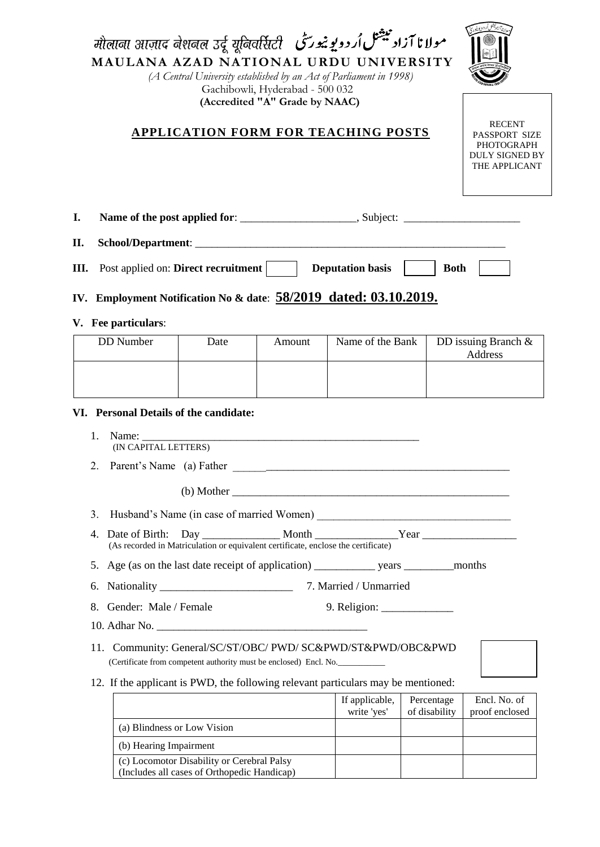|                                                                                                |                                                                                           |      | Gachibowli, Hyderabad - 500 032<br>(Accredited "A" Grade by NAAC)                 | مولانا آزاد بیشنل اُردویوییورسی औलावा आज़ाद वेशवल उर्दू यूविवर्सिटी<br>MAULANA AZAD NATIONAL URDU UNIVERSITY<br>(A Central University established by an Act of Parliament in 1998) |               |                                                                                               |
|------------------------------------------------------------------------------------------------|-------------------------------------------------------------------------------------------|------|-----------------------------------------------------------------------------------|------------------------------------------------------------------------------------------------------------------------------------------------------------------------------------|---------------|-----------------------------------------------------------------------------------------------|
|                                                                                                |                                                                                           |      |                                                                                   | <b>APPLICATION FORM FOR TEACHING POSTS</b>                                                                                                                                         |               | <b>RECENT</b><br>PASSPORT SIZE<br><b>PHOTOGRAPH</b><br><b>DULY SIGNED BY</b><br>THE APPLICANT |
| I.                                                                                             |                                                                                           |      |                                                                                   |                                                                                                                                                                                    |               |                                                                                               |
| II.                                                                                            |                                                                                           |      |                                                                                   |                                                                                                                                                                                    |               |                                                                                               |
| Ш.<br>IV. Employment Notification No & date: 58/2019 dated: 03.10.2019.<br>V. Fee particulars: | Post applied on: <b>Direct recruitment</b>                                                |      |                                                                                   | <b>Deputation basis</b>                                                                                                                                                            | <b>Both</b>   |                                                                                               |
| <b>DD</b> Number                                                                               |                                                                                           | Date | Amount                                                                            | Name of the Bank                                                                                                                                                                   |               | DD issuing Branch &<br>Address                                                                |
| VI. Personal Details of the candidate:                                                         |                                                                                           |      |                                                                                   |                                                                                                                                                                                    |               |                                                                                               |
| $1_{\cdot}$                                                                                    | (IN CAPITAL LETTERS)                                                                      |      |                                                                                   |                                                                                                                                                                                    |               |                                                                                               |
|                                                                                                | 2. Parent's Name (a) Father                                                               |      |                                                                                   |                                                                                                                                                                                    |               |                                                                                               |
|                                                                                                |                                                                                           |      |                                                                                   |                                                                                                                                                                                    |               |                                                                                               |
| 3.                                                                                             |                                                                                           |      |                                                                                   |                                                                                                                                                                                    |               |                                                                                               |
|                                                                                                |                                                                                           |      | (As recorded in Matriculation or equivalent certificate, enclose the certificate) |                                                                                                                                                                                    |               |                                                                                               |
|                                                                                                |                                                                                           |      |                                                                                   |                                                                                                                                                                                    |               |                                                                                               |
| 6.                                                                                             |                                                                                           |      |                                                                                   |                                                                                                                                                                                    |               |                                                                                               |
| 8.                                                                                             | Gender: Male / Female                                                                     |      |                                                                                   |                                                                                                                                                                                    |               |                                                                                               |
|                                                                                                |                                                                                           |      | (Certificate from competent authority must be enclosed) Encl. No.                 | 11. Community: General/SC/ST/OBC/ PWD/ SC&PWD/ST&PWD/OBC&PWD<br>12. If the applicant is PWD, the following relevant particulars may be mentioned:                                  |               |                                                                                               |
|                                                                                                |                                                                                           |      |                                                                                   | If applicable,                                                                                                                                                                     | Percentage    | Encl. No. of                                                                                  |
|                                                                                                | (a) Blindness or Low Vision                                                               |      |                                                                                   | write 'yes'                                                                                                                                                                        | of disability | proof enclosed                                                                                |
|                                                                                                | (b) Hearing Impairment                                                                    |      |                                                                                   |                                                                                                                                                                                    |               |                                                                                               |
|                                                                                                | (c) Locomotor Disability or Cerebral Palsy<br>(Includes all cases of Orthopedic Handicap) |      |                                                                                   |                                                                                                                                                                                    |               |                                                                                               |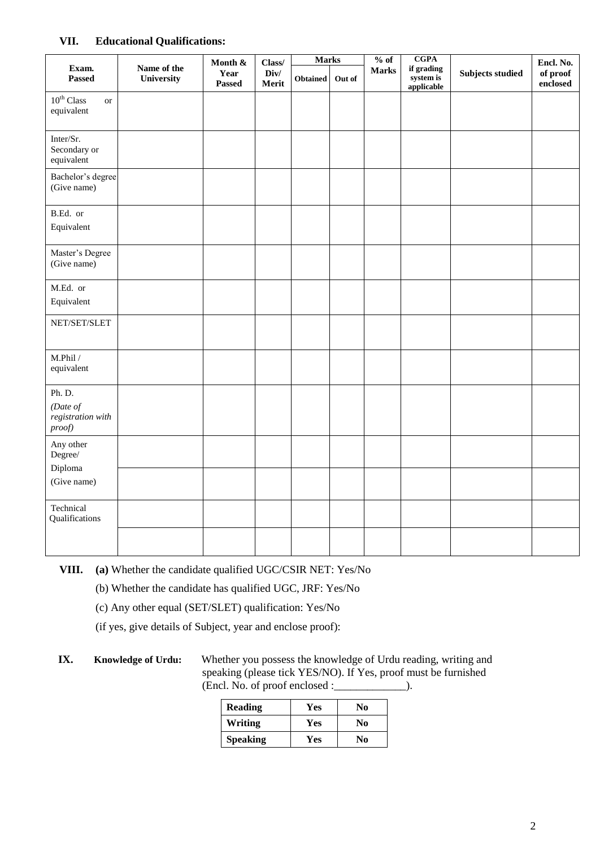# **VII. Educational Qualifications:**

|                                                   |                           | Month &               | Class/        | <b>Marks</b> |        | % of         | <b>CGPA</b>                           |                         | Encl. No.            |  |
|---------------------------------------------------|---------------------------|-----------------------|---------------|--------------|--------|--------------|---------------------------------------|-------------------------|----------------------|--|
| Exam.<br><b>Passed</b>                            | Name of the<br>University | Year<br><b>Passed</b> | Div/<br>Merit | Obtained     | Out of | <b>Marks</b> | if grading<br>system is<br>applicable | <b>Subjects studied</b> | of proof<br>enclosed |  |
| $10^{\rm th}$ Class<br><b>or</b><br>equivalent    |                           |                       |               |              |        |              |                                       |                         |                      |  |
| Inter/Sr.<br>Secondary or<br>equivalent           |                           |                       |               |              |        |              |                                       |                         |                      |  |
| Bachelor's degree<br>(Give name)                  |                           |                       |               |              |        |              |                                       |                         |                      |  |
| B.Ed. or<br>Equivalent                            |                           |                       |               |              |        |              |                                       |                         |                      |  |
| Master's Degree<br>(Give name)                    |                           |                       |               |              |        |              |                                       |                         |                      |  |
| M.Ed. or<br>Equivalent                            |                           |                       |               |              |        |              |                                       |                         |                      |  |
| NET/SET/SLET                                      |                           |                       |               |              |        |              |                                       |                         |                      |  |
| M.Phil /<br>equivalent                            |                           |                       |               |              |        |              |                                       |                         |                      |  |
| Ph. D.<br>(Date of<br>registration with<br>proof) |                           |                       |               |              |        |              |                                       |                         |                      |  |
| Any other<br>Degree/<br>Diploma                   |                           |                       |               |              |        |              |                                       |                         |                      |  |
| (Give name)                                       |                           |                       |               |              |        |              |                                       |                         |                      |  |
| Technical<br>Qualifications                       |                           |                       |               |              |        |              |                                       |                         |                      |  |
|                                                   |                           |                       |               |              |        |              |                                       |                         |                      |  |

**VIII. (a)** Whether the candidate qualified UGC/CSIR NET: Yes/No

(b) Whether the candidate has qualified UGC, JRF: Yes/No

(c) Any other equal (SET/SLET) qualification: Yes/No

(if yes, give details of Subject, year and enclose proof):

# **IX. Knowledge of Urdu:** Whether you possess the knowledge of Urdu reading, writing and speaking (please tick YES/NO). If Yes, proof must be furnished  $($ Encl. No. of proof enclosed : $\frac{1}{\sqrt{2}}$ .

| <b>Reading</b> | <b>Yes</b> | N <sub>0</sub> |
|----------------|------------|----------------|
| Writing        | Yes        | N <sub>0</sub> |
| Speaking       | Yes        | N <sub>0</sub> |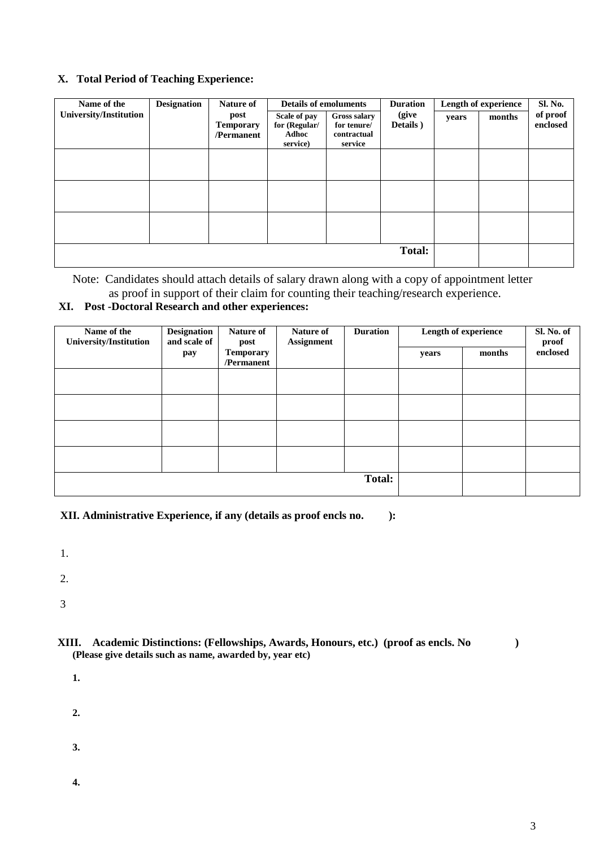# **X. Total Period of Teaching Experience:**

| Name of the            | <b>Designation</b> | Nature of        | <b>Details of emoluments</b> |                     | <b>Duration</b> | Length of experience | <b>Sl. No.</b> |          |
|------------------------|--------------------|------------------|------------------------------|---------------------|-----------------|----------------------|----------------|----------|
| University/Institution |                    | post             | Scale of pay                 | <b>Gross salary</b> | (give           | years                | months         | of proof |
|                        |                    | <b>Temporary</b> | for (Regular/                | for tenure/         | Details)        |                      |                | enclosed |
|                        |                    | /Permanent       | Adhoc                        | contractual         |                 |                      |                |          |
|                        |                    |                  | service)                     | service             |                 |                      |                |          |
|                        |                    |                  |                              |                     |                 |                      |                |          |
|                        |                    |                  |                              |                     |                 |                      |                |          |
|                        |                    |                  |                              |                     |                 |                      |                |          |
|                        |                    |                  |                              |                     |                 |                      |                |          |
|                        |                    |                  |                              |                     |                 |                      |                |          |
|                        |                    |                  |                              |                     |                 |                      |                |          |
|                        |                    |                  |                              |                     |                 |                      |                |          |
|                        |                    |                  |                              |                     |                 |                      |                |          |
|                        |                    |                  |                              |                     |                 |                      |                |          |
|                        |                    |                  |                              |                     |                 |                      |                |          |
| <b>Total:</b>          |                    |                  |                              |                     |                 |                      |                |          |
|                        |                    |                  |                              |                     |                 |                      |                |          |

Note: Candidates should attach details of salary drawn along with a copy of appointment letter as proof in support of their claim for counting their teaching/research experience.

# **XI. Post -Doctoral Research and other experiences:**

| Name of the<br>University/Institution | <b>Designation</b><br>and scale of | Nature of<br>post              | Nature of<br><b>Assignment</b> | <b>Duration</b> |       | Length of experience | Sl. No. of<br>proof |
|---------------------------------------|------------------------------------|--------------------------------|--------------------------------|-----------------|-------|----------------------|---------------------|
|                                       | pay                                | <b>Temporary</b><br>/Permanent |                                |                 | years | months               | enclosed            |
|                                       |                                    |                                |                                |                 |       |                      |                     |
|                                       |                                    |                                |                                |                 |       |                      |                     |
|                                       |                                    |                                |                                |                 |       |                      |                     |
|                                       |                                    |                                |                                |                 |       |                      |                     |
|                                       |                                    |                                |                                |                 |       |                      |                     |
|                                       |                                    |                                |                                | <b>Total:</b>   |       |                      |                     |

**XII. Administrative Experience, if any (details as proof encls no. ):**

- 1.
- 
- 2.

3

- **XIII. Academic Distinctions: (Fellowships, Awards, Honours, etc.) (proof as encls. No ) (Please give details such as name, awarded by, year etc)**
	- **1.**
	- **2.**
	-
	- **3.**
	- **4.**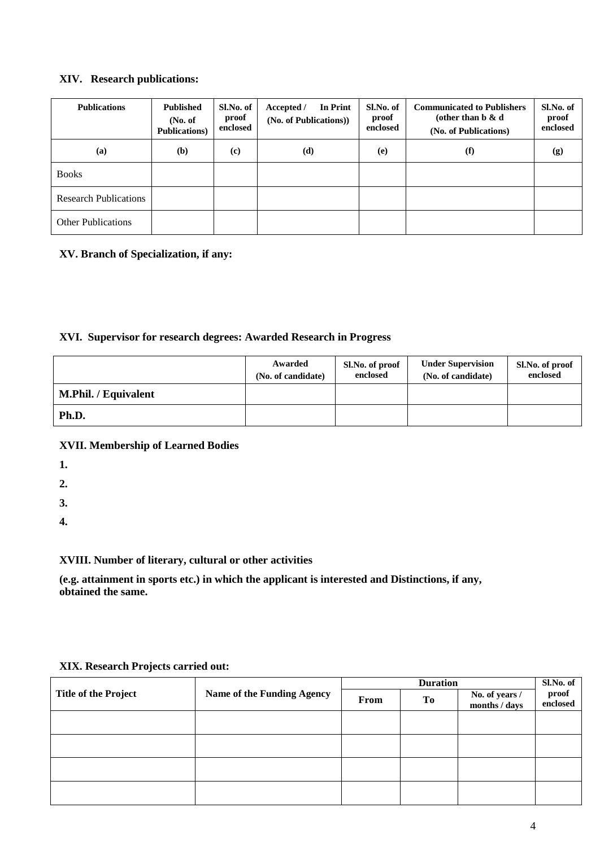# **XIV. Research publications:**

| <b>Publications</b>          | <b>Published</b><br>(No. of)<br><b>Publications</b> ) | Sl.No. of<br>proof<br>enclosed | In Print<br>Accepted /<br>(No. of Publications)) | Sl.No. of<br>proof<br>enclosed | <b>Communicated to Publishers</b><br>(other than $\mathbf b \& \mathbf d$<br>(No. of Publications) | Sl.No. of<br>proof<br>enclosed |
|------------------------------|-------------------------------------------------------|--------------------------------|--------------------------------------------------|--------------------------------|----------------------------------------------------------------------------------------------------|--------------------------------|
| (a)                          | (b)                                                   | $\left( \mathbf{c} \right)$    | (d)                                              | (e)                            | (f)                                                                                                | (g)                            |
| <b>Books</b>                 |                                                       |                                |                                                  |                                |                                                                                                    |                                |
| <b>Research Publications</b> |                                                       |                                |                                                  |                                |                                                                                                    |                                |
| <b>Other Publications</b>    |                                                       |                                |                                                  |                                |                                                                                                    |                                |

## **XV. Branch of Specialization, if any:**

## **XVI. Supervisor for research degrees: Awarded Research in Progress**

|                      | Awarded<br>(No. of candidate) | Sl.No. of proof<br>enclosed | <b>Under Supervision</b><br>(No. of candidate) | Sl.No. of proof<br>enclosed |
|----------------------|-------------------------------|-----------------------------|------------------------------------------------|-----------------------------|
| M.Phil. / Equivalent |                               |                             |                                                |                             |
| Ph.D.                |                               |                             |                                                |                             |

## **XVII. Membership of Learned Bodies**

**1.**

**2.**

**3.**

**4.**

# **XVIII. Number of literary, cultural or other activities**

**(e.g. attainment in sports etc.) in which the applicant is interested and Distinctions, if any, obtained the same.**

## **XIX. Research Projects carried out:**

|                             |                            |  | Sl.No. of |                                 |                   |
|-----------------------------|----------------------------|--|-----------|---------------------------------|-------------------|
| <b>Title of the Project</b> | Name of the Funding Agency |  | Tо        | No. of years /<br>months / days | proof<br>enclosed |
|                             |                            |  |           |                                 |                   |
|                             |                            |  |           |                                 |                   |
|                             |                            |  |           |                                 |                   |
|                             |                            |  |           |                                 |                   |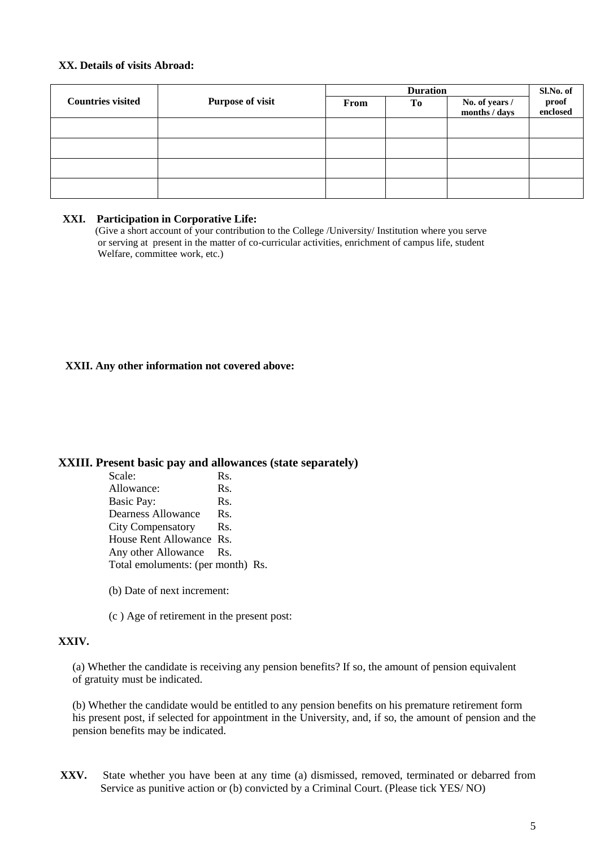#### **XX. Details of visits Abroad:**

|                          |                         |      | Sl.No. of |                                 |                   |  |
|--------------------------|-------------------------|------|-----------|---------------------------------|-------------------|--|
| <b>Countries visited</b> | <b>Purpose of visit</b> | From | Tо        | No. of years /<br>months / days | proof<br>enclosed |  |
|                          |                         |      |           |                                 |                   |  |
|                          |                         |      |           |                                 |                   |  |
|                          |                         |      |           |                                 |                   |  |
|                          |                         |      |           |                                 |                   |  |

#### **XXI. Participation in Corporative Life:**

 (Give a short account of your contribution to the College /University/ Institution where you serve or serving at present in the matter of co-curricular activities, enrichment of campus life, student Welfare, committee work, etc.)

#### **XXII. Any other information not covered above:**

#### **XXIII. Present basic pay and allowances (state separately)**

Scale: Rs. Allowance: Rs. Basic Pay: Rs. Dearness Allowance Rs. City Compensatory Rs. House Rent Allowance Rs. Any other Allowance Rs. Total emoluments: (per month) Rs.

- (b) Date of next increment:
- (c ) Age of retirement in the present post:

#### **XXIV.**

(a) Whether the candidate is receiving any pension benefits? If so, the amount of pension equivalent of gratuity must be indicated.

(b) Whether the candidate would be entitled to any pension benefits on his premature retirement form his present post, if selected for appointment in the University, and, if so, the amount of pension and the pension benefits may be indicated.

**XXV.** State whether you have been at any time (a) dismissed, removed, terminated or debarred from Service as punitive action or (b) convicted by a Criminal Court. (Please tick YES/ NO)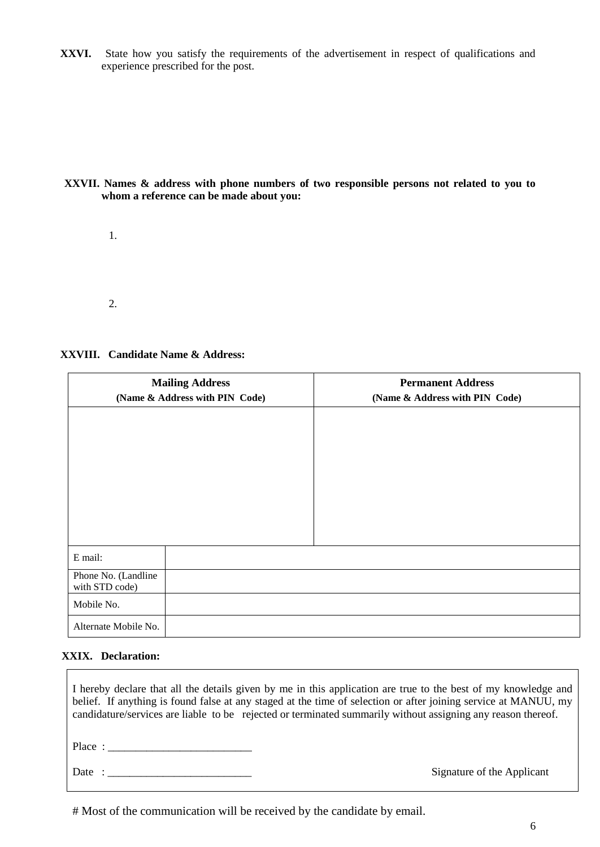**XXVI.** State how you satisfy the requirements of the advertisement in respect of qualifications and experience prescribed for the post.

**XXVII. Names & address with phone numbers of two responsible persons not related to you to whom a reference can be made about you:** 

1.

2.

### **XXVIII. Candidate Name & Address:**

| <b>Mailing Address</b><br>(Name & Address with PIN Code) | <b>Permanent Address</b><br>(Name & Address with PIN Code) |
|----------------------------------------------------------|------------------------------------------------------------|
|                                                          |                                                            |
|                                                          |                                                            |
|                                                          |                                                            |
|                                                          |                                                            |
|                                                          |                                                            |
| E mail:                                                  |                                                            |
| Phone No. (Landline<br>with STD code)                    |                                                            |
| Mobile No.                                               |                                                            |
| Alternate Mobile No.                                     |                                                            |

# **XXIX. Declaration:**

I hereby declare that all the details given by me in this application are true to the best of my knowledge and belief. If anything is found false at any staged at the time of selection or after joining service at MANUU, my candidature/services are liable to be rejected or terminated summarily without assigning any reason thereof. Place : \_\_\_\_\_\_\_\_\_\_\_\_\_\_\_\_\_\_\_\_\_\_\_\_\_\_

Date : \_\_\_\_\_\_\_\_\_\_\_\_\_\_\_\_\_\_\_\_\_\_\_\_\_\_ Signature of the Applicant

# Most of the communication will be received by the candidate by email.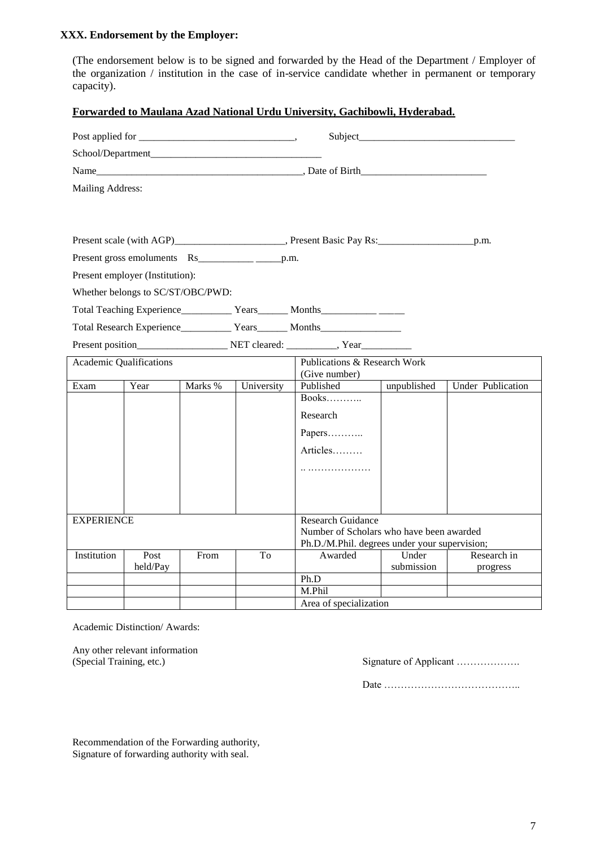## **XXX. Endorsement by the Employer:**

(The endorsement below is to be signed and forwarded by the Head of the Department / Employer of the organization / institution in the case of in-service candidate whether in permanent or temporary capacity).

#### **Forwarded to Maulana Azad National Urdu University, Gachibowli, Hyderabad.**

|                         |                                 |                                   | School/Department |                                                                                   |             |                   |  |  |  |
|-------------------------|---------------------------------|-----------------------------------|-------------------|-----------------------------------------------------------------------------------|-------------|-------------------|--|--|--|
|                         |                                 |                                   |                   |                                                                                   |             |                   |  |  |  |
| Mailing Address:        |                                 |                                   |                   |                                                                                   |             |                   |  |  |  |
|                         |                                 |                                   |                   |                                                                                   |             |                   |  |  |  |
|                         |                                 |                                   |                   |                                                                                   |             |                   |  |  |  |
|                         |                                 |                                   |                   |                                                                                   |             |                   |  |  |  |
|                         |                                 |                                   |                   |                                                                                   |             |                   |  |  |  |
|                         | Present employer (Institution): |                                   |                   |                                                                                   |             |                   |  |  |  |
|                         |                                 | Whether belongs to SC/ST/OBC/PWD: |                   |                                                                                   |             |                   |  |  |  |
|                         |                                 |                                   |                   | Total Teaching Experience_______________Years__________ Months___________________ |             |                   |  |  |  |
|                         |                                 |                                   |                   |                                                                                   |             |                   |  |  |  |
|                         |                                 |                                   |                   |                                                                                   |             |                   |  |  |  |
| Academic Qualifications |                                 |                                   |                   | <b>Publications &amp; Research Work</b>                                           |             |                   |  |  |  |
| Exam                    | Year                            | Marks %                           | University        | (Give number)<br>Published                                                        | unpublished | Under Publication |  |  |  |
|                         |                                 |                                   |                   | Books                                                                             |             |                   |  |  |  |
|                         |                                 |                                   |                   | Research                                                                          |             |                   |  |  |  |
|                         |                                 |                                   |                   | Papers                                                                            |             |                   |  |  |  |
|                         |                                 |                                   |                   | Articles                                                                          |             |                   |  |  |  |
|                         |                                 |                                   |                   |                                                                                   |             |                   |  |  |  |
|                         |                                 |                                   |                   |                                                                                   |             |                   |  |  |  |
|                         |                                 |                                   |                   |                                                                                   |             |                   |  |  |  |
| <b>EXPERIENCE</b>       |                                 |                                   |                   | <b>Research Guidance</b>                                                          |             |                   |  |  |  |
|                         |                                 |                                   |                   | Number of Scholars who have been awarded                                          |             |                   |  |  |  |
|                         |                                 |                                   |                   | Ph.D./M.Phil. degrees under your supervision;                                     |             |                   |  |  |  |
| Institution             | Post                            | From                              | To                | Awarded                                                                           | Under       | Research in       |  |  |  |
|                         | held/Pay                        |                                   |                   |                                                                                   | submission  | progress          |  |  |  |
|                         |                                 |                                   |                   | Ph.D                                                                              |             |                   |  |  |  |
|                         |                                 |                                   |                   | M.Phil<br>Area of specialization                                                  |             |                   |  |  |  |

Academic Distinction/ Awards:

Any other relevant information<br>(Special Training, etc.)

Signature of Applicant ……………….

Date …………………………………..

Recommendation of the Forwarding authority, Signature of forwarding authority with seal.